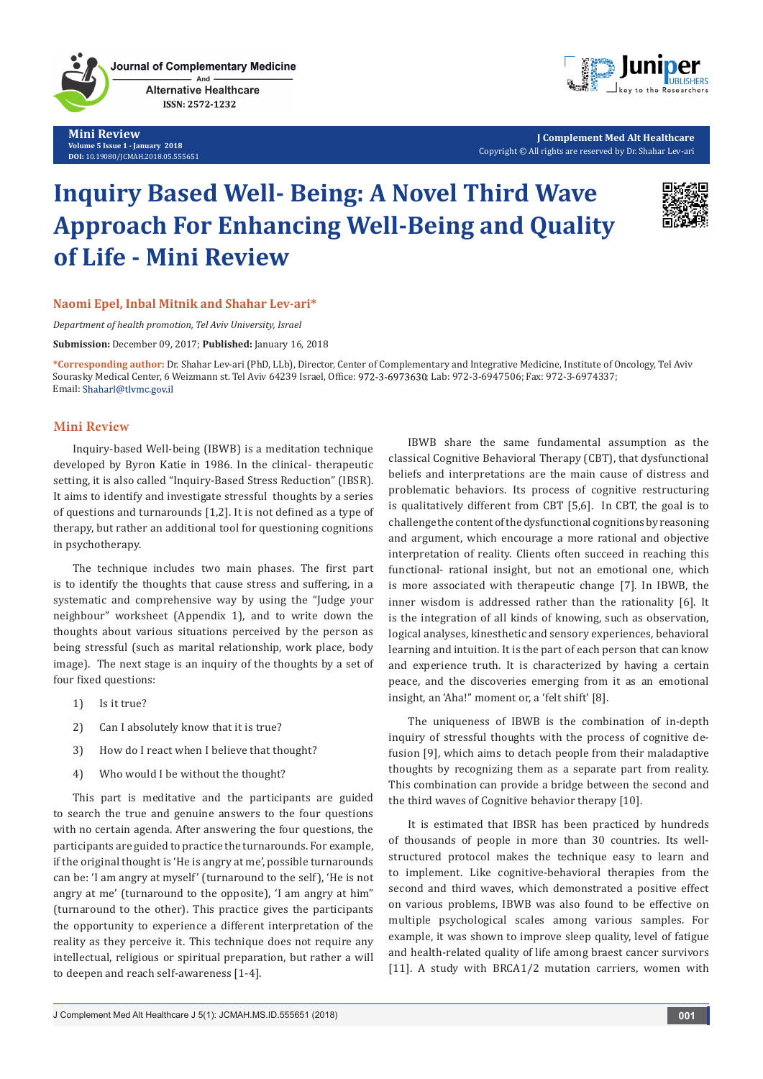

Journal of Complementary Medicine **Alternative Healthcare** ISSN: 2572-1232

**Mini Review Volume 5 Issue 1 - January 2018 DOI:** [10.19080/JCMAH.2018.05.555651](http://dx.doi.org/10.19080/JCMAH.2018.05.555651)



**J Complement Med Alt Healthcare** Copyright © All rights are reserved by Dr. Shahar Lev-ari

# **Inquiry Based Well- Being: A Novel Third Wave Approach For Enhancing Well-Being and Quality of Life - Mini Review**



## **Naomi Epel, Inbal Mitnik and Shahar Lev-ari\***

*Department of health promotion, Tel Aviv University, Israel*

**Submission:** December 09, 2017; **Published:** January 16, 2018

**\*Corresponding author:** Dr. Shahar Lev-ari (PhD, LLb), Director, Center of Complementary and Integrative Medicine, Institute of Oncology, Tel Aviv Sourasky Medical Center, 6 Weizmann st. Tel Aviv 64239 Israel, Office: 972-3-6973630; Lab: 972-3-6947506; Fax: 972-3-6974337; Email: Shaharl@tlvmc.gov.il

### **Mini Review**

Inquiry-based Well-being (IBWB) is a meditation technique developed by Byron Katie in 1986. In the clinical- therapeutic setting, it is also called "Inquiry-Based Stress Reduction" (IBSR). It aims to identify and investigate stressful thoughts by a series of questions and turnarounds [1,2]. It is not defined as a type of therapy, but rather an additional tool for questioning cognitions in psychotherapy.

The technique includes two main phases. The first part is to identify the thoughts that cause stress and suffering, in a systematic and comprehensive way by using the "Judge your neighbour" worksheet (Appendix 1), and to write down the thoughts about various situations perceived by the person as being stressful (such as marital relationship, work place, body image). The next stage is an inquiry of the thoughts by a set of four fixed questions:

- 1) Is it true?
- 2) Can I absolutely know that it is true?
- 3) How do I react when I believe that thought?
- 4) Who would I be without the thought?

This part is meditative and the participants are guided to search the true and genuine answers to the four questions with no certain agenda. After answering the four questions, the participants are guided to practice the turnarounds. For example, if the original thought is 'He is angry at me', possible turnarounds can be: 'I am angry at myself' (turnaround to the self), 'He is not angry at me' (turnaround to the opposite), 'I am angry at him" (turnaround to the other). This practice gives the participants the opportunity to experience a different interpretation of the reality as they perceive it. This technique does not require any intellectual, religious or spiritual preparation, but rather a will to deepen and reach self-awareness [1-4].

IBWB share the same fundamental assumption as the classical Cognitive Behavioral Therapy (CBT), that dysfunctional beliefs and interpretations are the main cause of distress and problematic behaviors. Its process of cognitive restructuring is qualitatively different from CBT [5,6]. In CBT, the goal is to challenge the content of the dysfunctional cognitions by reasoning and argument, which encourage a more rational and objective interpretation of reality. Clients often succeed in reaching this functional- rational insight, but not an emotional one, which is more associated with therapeutic change [7]. In IBWB, the inner wisdom is addressed rather than the rationality [6]. It is the integration of all kinds of knowing, such as observation, logical analyses, kinesthetic and sensory experiences, behavioral learning and intuition. It is the part of each person that can know and experience truth. It is characterized by having a certain peace, and the discoveries emerging from it as an emotional insight, an 'Aha!" moment or, a 'felt shift' [8].

The uniqueness of IBWB is the combination of in-depth inquiry of stressful thoughts with the process of cognitive defusion [9], which aims to detach people from their maladaptive thoughts by recognizing them as a separate part from reality. This combination can provide a bridge between the second and the third waves of Cognitive behavior therapy [10].

It is estimated that IBSR has been practiced by hundreds of thousands of people in more than 30 countries. Its wellstructured protocol makes the technique easy to learn and to implement. Like cognitive-behavioral therapies from the second and third waves, which demonstrated a positive effect on various problems, IBWB was also found to be effective on multiple psychological scales among various samples. For example, it was shown to improve sleep quality, level of fatigue and health-related quality of life among braest cancer survivors [11]. A study with BRCA1/2 mutation carriers, women with